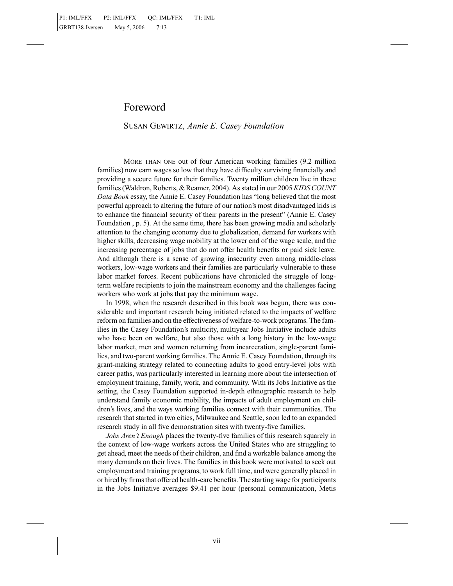## Foreword

## SUSAN GEWIRTZ, *Annie E. Casey Foundation*

MORE THAN ONE out of four American working families (9.2 million families) now earn wages so low that they have difficulty surviving financially and providing a secure future for their families. Twenty million children live in these families (Waldron, Roberts, & Reamer, 2004). As stated in our 2005*KIDS COUNT Data Book* essay, the Annie E. Casey Foundation has "long believed that the most powerful approach to altering the future of our nation's most disadvantaged kids is to enhance the financial security of their parents in the present" (Annie E. Casey Foundation , p. 5). At the same time, there has been growing media and scholarly attention to the changing economy due to globalization, demand for workers with higher skills, decreasing wage mobility at the lower end of the wage scale, and the increasing percentage of jobs that do not offer health benefits or paid sick leave. And although there is a sense of growing insecurity even among middle-class workers, low-wage workers and their families are particularly vulnerable to these labor market forces. Recent publications have chronicled the struggle of longterm welfare recipients to join the mainstream economy and the challenges facing workers who work at jobs that pay the minimum wage.

In 1998, when the research described in this book was begun, there was considerable and important research being initiated related to the impacts of welfare reform on families and on the effectiveness of welfare-to-work programs. The families in the Casey Foundation's multicity, multiyear Jobs Initiative include adults who have been on welfare, but also those with a long history in the low-wage labor market, men and women returning from incarceration, single-parent families, and two-parent working families. The Annie E. Casey Foundation, through its grant-making strategy related to connecting adults to good entry-level jobs with career paths, was particularly interested in learning more about the intersection of employment training, family, work, and community. With its Jobs Initiative as the setting, the Casey Foundation supported in-depth ethnographic research to help understand family economic mobility, the impacts of adult employment on children's lives, and the ways working families connect with their communities. The research that started in two cities, Milwaukee and Seattle, soon led to an expanded research study in all five demonstration sites with twenty-five families.

*Jobs Aren't Enough* places the twenty-five families of this research squarely in the context of low-wage workers across the United States who are struggling to get ahead, meet the needs of their children, and find a workable balance among the many demands on their lives. The families in this book were motivated to seek out employment and training programs, to work full time, and were generally placed in or hired by firms that offered health-care benefits. The starting wage for participants in the Jobs Initiative averages \$9.41 per hour (personal communication, Metis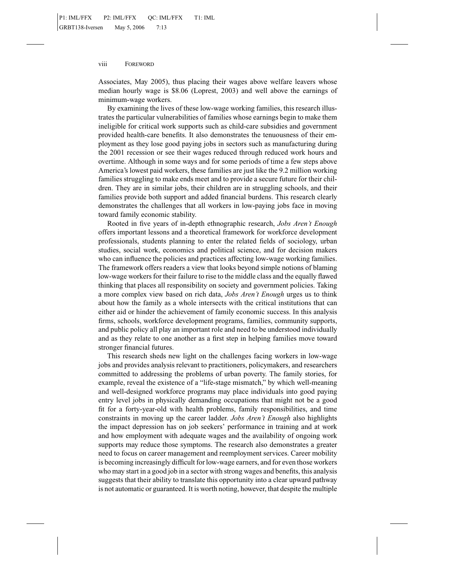Associates, May 2005), thus placing their wages above welfare leavers whose median hourly wage is \$8.06 (Loprest, 2003) and well above the earnings of minimum-wage workers.

By examining the lives of these low-wage working families, this research illustrates the particular vulnerabilities of families whose earnings begin to make them ineligible for critical work supports such as child-care subsidies and government provided health-care benefits. It also demonstrates the tenuousness of their employment as they lose good paying jobs in sectors such as manufacturing during the 2001 recession or see their wages reduced through reduced work hours and overtime. Although in some ways and for some periods of time a few steps above America's lowest paid workers, these families are just like the 9.2 million working families struggling to make ends meet and to provide a secure future for their children. They are in similar jobs, their children are in struggling schools, and their families provide both support and added financial burdens. This research clearly demonstrates the challenges that all workers in low-paying jobs face in moving toward family economic stability.

Rooted in five years of in-depth ethnographic research, *Jobs Aren't Enough* offers important lessons and a theoretical framework for workforce development professionals, students planning to enter the related fields of sociology, urban studies, social work, economics and political science, and for decision makers who can influence the policies and practices affecting low-wage working families. The framework offers readers a view that looks beyond simple notions of blaming low-wage workers for their failure to rise to the middle class and the equally flawed thinking that places all responsibility on society and government policies. Taking a more complex view based on rich data, *Jobs Aren't Enough* urges us to think about how the family as a whole intersects with the critical institutions that can either aid or hinder the achievement of family economic success. In this analysis firms, schools, workforce development programs, families, community supports, and public policy all play an important role and need to be understood individually and as they relate to one another as a first step in helping families move toward stronger financial futures.

This research sheds new light on the challenges facing workers in low-wage jobs and provides analysis relevant to practitioners, policymakers, and researchers committed to addressing the problems of urban poverty. The family stories, for example, reveal the existence of a "life-stage mismatch," by which well-meaning and well-designed workforce programs may place individuals into good paying entry level jobs in physically demanding occupations that might not be a good fit for a forty-year-old with health problems, family responsibilities, and time constraints in moving up the career ladder. *Jobs Aren't Enough* also highlights the impact depression has on job seekers' performance in training and at work and how employment with adequate wages and the availability of ongoing work supports may reduce those symptoms. The research also demonstrates a greater need to focus on career management and reemployment services. Career mobility is becoming increasingly difficult for low-wage earners, and for even those workers who may start in a good job in a sector with strong wages and benefits, this analysis suggests that their ability to translate this opportunity into a clear upward pathway is not automatic or guaranteed. It is worth noting, however, that despite the multiple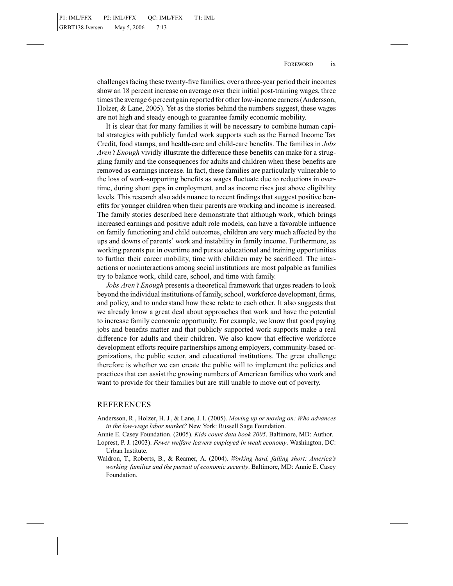challenges facing these twenty-five families, over a three-year period their incomes show an 18 percent increase on average over their initial post-training wages, three times the average 6 percent gain reported for other low-income earners (Andersson, Holzer,  $&$  Lane, 2005). Yet as the stories behind the numbers suggest, these wages are not high and steady enough to guarantee family economic mobility.

It is clear that for many families it will be necessary to combine human capital strategies with publicly funded work supports such as the Earned Income Tax Credit, food stamps, and health-care and child-care benefits. The families in *Jobs Aren't Enough* vividly illustrate the difference these benefits can make for a struggling family and the consequences for adults and children when these benefits are removed as earnings increase. In fact, these families are particularly vulnerable to the loss of work-supporting benefits as wages fluctuate due to reductions in overtime, during short gaps in employment, and as income rises just above eligibility levels. This research also adds nuance to recent findings that suggest positive benefits for younger children when their parents are working and income is increased. The family stories described here demonstrate that although work, which brings increased earnings and positive adult role models, can have a favorable influence on family functioning and child outcomes, children are very much affected by the ups and downs of parents' work and instability in family income. Furthermore, as working parents put in overtime and pursue educational and training opportunities to further their career mobility, time with children may be sacrificed. The interactions or noninteractions among social institutions are most palpable as families try to balance work, child care, school, and time with family.

*Jobs Aren't Enough* presents a theoretical framework that urges readers to look beyond the individual institutions of family, school, workforce development, firms, and policy, and to understand how these relate to each other. It also suggests that we already know a great deal about approaches that work and have the potential to increase family economic opportunity. For example, we know that good paying jobs and benefits matter and that publicly supported work supports make a real difference for adults and their children. We also know that effective workforce development efforts require partnerships among employers, community-based organizations, the public sector, and educational institutions. The great challenge therefore is whether we can create the public will to implement the policies and practices that can assist the growing numbers of American families who work and want to provide for their families but are still unable to move out of poverty.

#### REFERENCES

- Andersson, R., Holzer, H. J., & Lane, J. I. (2005). *Moving up or moving on: Who advances in the low-wage labor market?* New York: Russell Sage Foundation.
- Annie E. Casey Foundation. (2005). *Kids count data book 2005*. Baltimore, MD: Author.
- Loprest, P. J. (2003). *Fewer welfare leavers employed in weak economy*. Washington, DC: Urban Institute.
- Waldron, T., Roberts, B., & Reamer, A. (2004). *Working hard, falling short: America's working families and the pursuit of economic security*. Baltimore, MD: Annie E. Casey Foundation.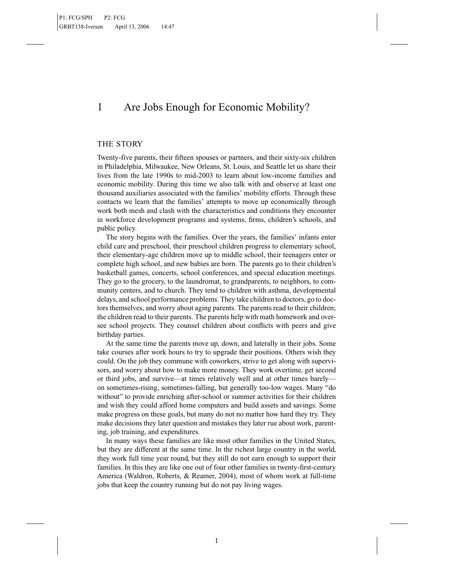# 1 Are Jobs Enough for Economic Mobility?

### THE STORY

Twenty-five parents, their fifteen spouses or partners, and their sixty-six children in Philadelphia, Milwaukee, New Orleans, St. Louis, and Seattle let us share their lives from the late 1990s to mid-2003 to learn about low-income families and economic mobility. During this time we also talk with and observe at least one thousand auxiliaries associated with the families' mobility efforts. Through these contacts we learn that the families' attempts to move up economically through work both mesh and clash with the characteristics and conditions they encounter in workforce development programs and systems, firms, children's schools, and public policy.

The story begins with the families. Over the years, the families' infants enter child care and preschool, their preschool children progress to elementary school, their elementary-age children move up to middle school, their teenagers enter or complete high school, and new babies are born. The parents go to their children's basketball games, concerts, school conferences, and special education meetings. They go to the grocery, to the laundromat, to grandparents, to neighbors, to community centers, and to church. They tend to children with asthma, developmental delays, and school performance problems. They take children to doctors, go to doctors themselves, and worry about aging parents. The parents read to their children; the children read to their parents. The parents help with math homework and oversee school projects. They counsel children about conflicts with peers and give birthday parties.

At the same time the parents move up, down, and laterally in their jobs. Some take courses after work hours to try to upgrade their positions. Others wish they could. On the job they commune with coworkers, strive to get along with supervisors, and worry about how to make more money. They work overtime, get second or third jobs, and survive—at times relatively well and at other times barely on sometimes-rising, sometimes-falling, but generally too-low wages. Many "do without" to provide enriching after-school or summer activities for their children and wish they could afford home computers and build assets and savings. Some make progress on these goals, but many do not no matter how hard they try. They make decisions they later question and mistakes they later rue about work, parenting, job training, and expenditures.

In many ways these families are like most other families in the United States, but they are different at the same time. In the richest large country in the world, they work full time year round, but they still do not earn enough to support their families. In this they are like one out of four other families in twenty-first-century America (Waldron, Roberts, & Reamer, 2004), most of whom work at full-time jobs that keep the country running but do not pay living wages.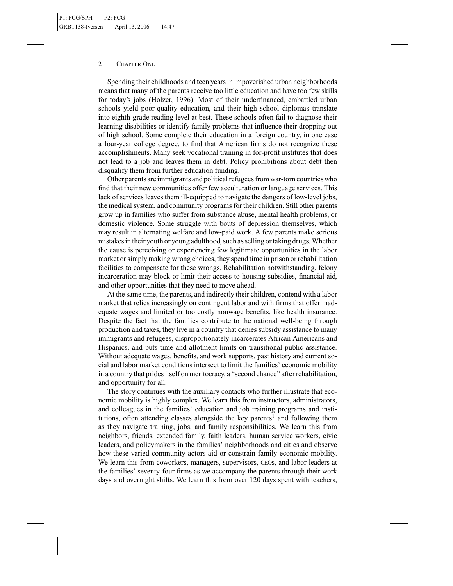Spending their childhoods and teen years in impoverished urban neighborhoods means that many of the parents receive too little education and have too few skills for today's jobs (Holzer, 1996). Most of their underfinanced, embattled urban schools yield poor-quality education, and their high school diplomas translate into eighth-grade reading level at best. These schools often fail to diagnose their learning disabilities or identify family problems that influence their dropping out of high school. Some complete their education in a foreign country, in one case a four-year college degree, to find that American firms do not recognize these accomplishments. Many seek vocational training in for-profit institutes that does not lead to a job and leaves them in debt. Policy prohibitions about debt then disqualify them from further education funding.

Other parents are immigrants and political refugees from war-torn countries who find that their new communities offer few acculturation or language services. This lack of services leaves them ill-equipped to navigate the dangers of low-level jobs, the medical system, and community programs for their children. Still other parents grow up in families who suffer from substance abuse, mental health problems, or domestic violence. Some struggle with bouts of depression themselves, which may result in alternating welfare and low-paid work. A few parents make serious mistakes in their youth or young adulthood, such as selling or taking drugs. Whether the cause is perceiving or experiencing few legitimate opportunities in the labor market or simply making wrong choices, they spend time in prison or rehabilitation facilities to compensate for these wrongs. Rehabilitation notwithstanding, felony incarceration may block or limit their access to housing subsidies, financial aid, and other opportunities that they need to move ahead.

At the same time, the parents, and indirectly their children, contend with a labor market that relies increasingly on contingent labor and with firms that offer inadequate wages and limited or too costly nonwage benefits, like health insurance. Despite the fact that the families contribute to the national well-being through production and taxes, they live in a country that denies subsidy assistance to many immigrants and refugees, disproportionately incarcerates African Americans and Hispanics, and puts time and allotment limits on transitional public assistance. Without adequate wages, benefits, and work supports, past history and current social and labor market conditions intersect to limit the families' economic mobility in a country that prides itself on meritocracy, a "second chance" after rehabilitation, and opportunity for all.

The story continues with the auxiliary contacts who further illustrate that economic mobility is highly complex. We learn this from instructors, administrators, and colleagues in the families' education and job training programs and institutions, often attending classes alongside the key parents<sup>1</sup> and following them as they navigate training, jobs, and family responsibilities. We learn this from neighbors, friends, extended family, faith leaders, human service workers, civic leaders, and policymakers in the families' neighborhoods and cities and observe how these varied community actors aid or constrain family economic mobility. We learn this from coworkers, managers, supervisors, CEOs, and labor leaders at the families' seventy-four firms as we accompany the parents through their work days and overnight shifts. We learn this from over 120 days spent with teachers,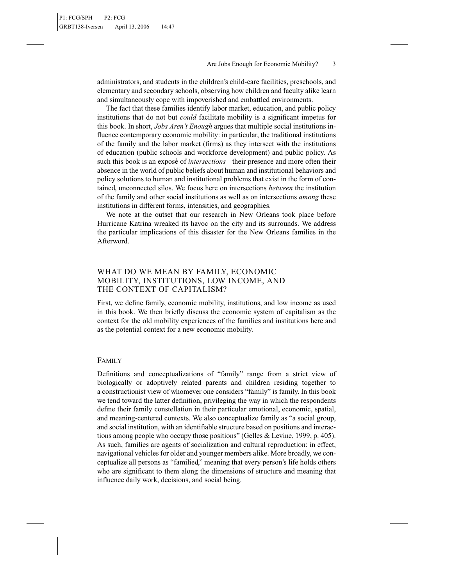administrators, and students in the children's child-care facilities, preschools, and elementary and secondary schools, observing how children and faculty alike learn and simultaneously cope with impoverished and embattled environments.

The fact that these families identify labor market, education, and public policy institutions that do not but *could* facilitate mobility is a significant impetus for this book. In short, *Jobs Aren't Enough* argues that multiple social institutions influence contemporary economic mobility: in particular, the traditional institutions of the family and the labor market (firms) as they intersect with the institutions of education (public schools and workforce development) and public policy. As such this book is an exposé of *intersections*—their presence and more often their absence in the world of public beliefs about human and institutional behaviors and policy solutions to human and institutional problems that exist in the form of contained, unconnected silos. We focus here on intersections *between* the institution of the family and other social institutions as well as on intersections *among* these institutions in different forms, intensities, and geographies.

We note at the outset that our research in New Orleans took place before Hurricane Katrina wreaked its havoc on the city and its surrounds. We address the particular implications of this disaster for the New Orleans families in the Afterword.

## WHAT DO WE MEAN BY FAMILY, ECONOMIC MOBILITY, INSTITUTIONS, LOW INCOME, AND THE CONTEXT OF CAPITALISM?

First, we define family, economic mobility, institutions, and low income as used in this book. We then briefly discuss the economic system of capitalism as the context for the old mobility experiences of the families and institutions here and as the potential context for a new economic mobility.

#### FAMILY

Definitions and conceptualizations of "family" range from a strict view of biologically or adoptively related parents and children residing together to a constructionist view of whomever one considers "family" is family. In this book we tend toward the latter definition, privileging the way in which the respondents define their family constellation in their particular emotional, economic, spatial, and meaning-centered contexts. We also conceptualize family as "a social group, and social institution, with an identifiable structure based on positions and interactions among people who occupy those positions" (Gelles & Levine, 1999, p. 405). As such, families are agents of socialization and cultural reproduction: in effect, navigational vehicles for older and younger members alike. More broadly, we conceptualize all persons as "familied," meaning that every person's life holds others who are significant to them along the dimensions of structure and meaning that influence daily work, decisions, and social being.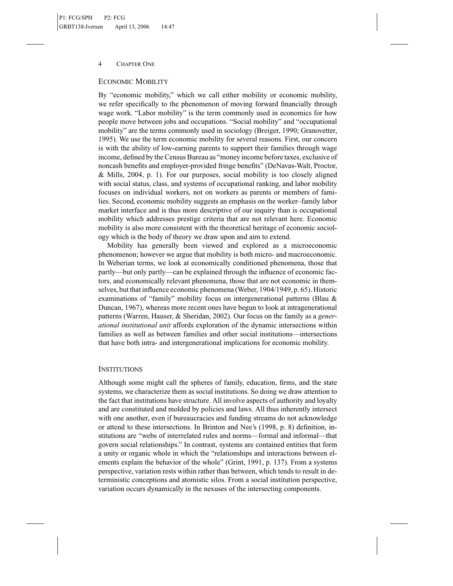#### ECONOMIC MOBILITY

By "economic mobility," which we call either mobility or economic mobility, we refer specifically to the phenomenon of moving forward financially through wage work. "Labor mobility" is the term commonly used in economics for how people move between jobs and occupations. "Social mobility" and "occupational mobility" are the terms commonly used in sociology (Breiger, 1990; Granovetter, 1995). We use the term economic mobility for several reasons. First, our concern is with the ability of low-earning parents to support their families through wage income, defined by the Census Bureau as "money income before taxes, exclusive of noncash benefits and employer-provided fringe benefits" (DeNavas-Walt, Proctor, & Mills, 2004, p. 1). For our purposes, social mobility is too closely aligned with social status, class, and systems of occupational ranking, and labor mobility focuses on individual workers, not on workers as parents or members of families. Second, economic mobility suggests an emphasis on the worker–family labor market interface and is thus more descriptive of our inquiry than is occupational mobility which addresses prestige criteria that are not relevant here. Economic mobility is also more consistent with the theoretical heritage of economic sociology which is the body of theory we draw upon and aim to extend.

Mobility has generally been viewed and explored as a microeconomic phenomenon; however we argue that mobility is both micro- and macroeconomic. In Weberian terms, we look at economically conditioned phenomena, those that partly—but only partly—can be explained through the influence of economic factors, and economically relevant phenomena, those that are not economic in themselves, but that influence economic phenomena (Weber, 1904/1949, p. 65). Historic examinations of "family" mobility focus on intergenerational patterns (Blau & Duncan, 1967), whereas more recent ones have begun to look at intragenerational patterns (Warren, Hauser, & Sheridan, 2002). Our focus on the family as a *generational institutional unit* affords exploration of the dynamic intersections within families as well as between families and other social institutions—intersections that have both intra- and intergenerational implications for economic mobility.

#### **INSTITUTIONS**

Although some might call the spheres of family, education, firms, and the state systems, we characterize them as social institutions. So doing we draw attention to the fact that institutions have structure. All involve aspects of authority and loyalty and are constituted and molded by policies and laws. All thus inherently intersect with one another, even if bureaucracies and funding streams do not acknowledge or attend to these intersections. In Brinton and Nee's (1998, p. 8) definition, institutions are "webs of interrelated rules and norms—formal and informal—that govern social relationships." In contrast, systems are contained entities that form a unity or organic whole in which the "relationships and interactions between elements explain the behavior of the whole" (Grint, 1991, p. 137). From a systems perspective, variation rests within rather than between, which tends to result in deterministic conceptions and atomistic silos. From a social institution perspective, variation occurs dynamically in the nexuses of the intersecting components.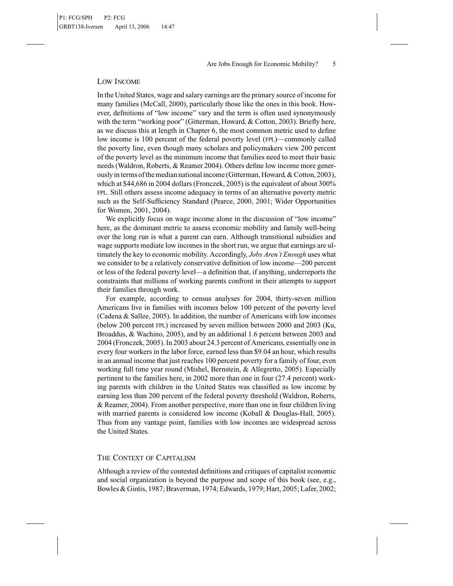#### LOW INCOME

In the United States, wage and salary earnings are the primary source of income for many families (McCall, 2000), particularly those like the ones in this book. However, definitions of "low income" vary and the term is often used synonymously with the term "working poor" (Gitterman, Howard, & Cotton, 2003). Briefly here, as we discuss this at length in Chapter 6, the most common metric used to define low income is 100 percent of the federal poverty level (FPL)—commonly called the poverty line, even though many scholars and policymakers view 200 percent of the poverty level as the minimum income that families need to meet their basic needs (Waldron, Roberts, & Reamer 2004). Others define low income more generously in terms of the median national income (Gitterman, Howard, & Cotton, 2003), which at \$44,686 in 2004 dollars (Fronczek, 2005) is the equivalent of about 300% FPL. Still others assess income adequacy in terms of an alternative poverty metric such as the Self-Sufficiency Standard (Pearce, 2000, 2001; Wider Opportunities for Women, 2001, 2004).

We explicitly focus on wage income alone in the discussion of "low income" here, as the dominant metric to assess economic mobility and family well-being over the long run is what a parent can earn. Although transitional subsidies and wage supports mediate low incomes in the short run, we argue that earnings are ultimately the key to economic mobility. Accordingly, *Jobs Aren't Enough* uses what we consider to be a relatively conservative definition of low income—200 percent or less of the federal poverty level—a definition that, if anything, underreports the constraints that millions of working parents confront in their attempts to support their families through work.

For example, according to census analyses for 2004, thirty-seven million Americans live in families with incomes below 100 percent of the poverty level (Cadena & Sallee, 2005). In addition, the number of Americans with low incomes (below 200 percent FPL) increased by seven million between 2000 and 2003 (Ku, Broaddus, & Wachino, 2005), and by an additional 1.6 percent between 2003 and 2004 (Fronczek, 2005). In 2003 about 24.3 percent of Americans, essentially one in every four workers in the labor force, earned less than \$9.04 an hour, which results in an annual income that just reaches 100 percent poverty for a family of four, even working full time year round (Mishel, Bernstein, & Allegretto, 2005). Especially pertinent to the families here, in 2002 more than one in four (27.4 percent) working parents with children in the United States was classified as low income by earning less than 200 percent of the federal poverty threshold (Waldron, Roberts, & Reamer, 2004). From another perspective, more than one in four children living with married parents is considered low income (Koball & Douglas-Hall, 2005). Thus from any vantage point, families with low incomes are widespread across the United States.

#### THE CONTEXT OF CAPITALISM

Although a review of the contested definitions and critiques of capitalist economic and social organization is beyond the purpose and scope of this book (see, e.g., Bowles & Gintis, 1987; Braverman, 1974; Edwards, 1979; Hart, 2005; Lafer, 2002;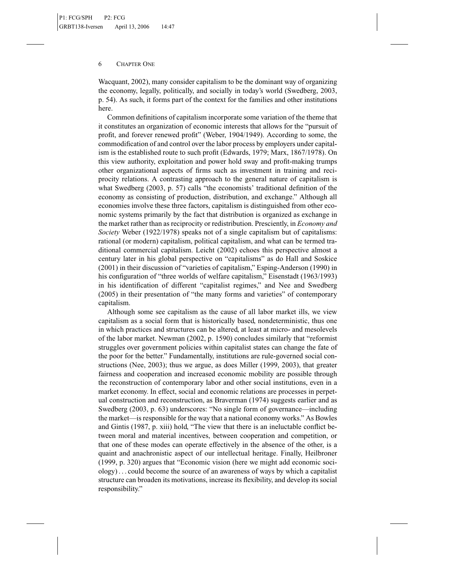Wacquant, 2002), many consider capitalism to be the dominant way of organizing the economy, legally, politically, and socially in today's world (Swedberg, 2003, p. 54). As such, it forms part of the context for the families and other institutions here.

Common definitions of capitalism incorporate some variation of the theme that it constitutes an organization of economic interests that allows for the "pursuit of profit, and forever renewed profit" (Weber, 1904/1949). According to some, the commodification of and control over the labor process by employers under capitalism is the established route to such profit (Edwards, 1979; Marx, 1867/1978). On this view authority, exploitation and power hold sway and profit-making trumps other organizational aspects of firms such as investment in training and reciprocity relations. A contrasting approach to the general nature of capitalism is what Swedberg (2003, p. 57) calls "the economists' traditional definition of the economy as consisting of production, distribution, and exchange." Although all economies involve these three factors, capitalism is distinguished from other economic systems primarily by the fact that distribution is organized as exchange in the market rather than as reciprocity or redistribution. Presciently, in *Economy and Society* Weber (1922/1978) speaks not of a single capitalism but of capitalisms: rational (or modern) capitalism, political capitalism, and what can be termed traditional commercial capitalism. Leicht (2002) echoes this perspective almost a century later in his global perspective on "capitalisms" as do Hall and Soskice (2001) in their discussion of "varieties of capitalism," Esping-Anderson (1990) in his configuration of "three worlds of welfare capitalism," Eisenstadt (1963/1993) in his identification of different "capitalist regimes," and Nee and Swedberg (2005) in their presentation of "the many forms and varieties" of contemporary capitalism.

Although some see capitalism as the cause of all labor market ills, we view capitalism as a social form that is historically based, nondeterministic, thus one in which practices and structures can be altered, at least at micro- and mesolevels of the labor market. Newman (2002, p. 1590) concludes similarly that "reformist struggles over government policies within capitalist states can change the fate of the poor for the better." Fundamentally, institutions are rule-governed social constructions (Nee, 2003); thus we argue, as does Miller (1999, 2003), that greater fairness and cooperation and increased economic mobility are possible through the reconstruction of contemporary labor and other social institutions, even in a market economy. In effect, social and economic relations are processes in perpetual construction and reconstruction, as Braverman (1974) suggests earlier and as Swedberg (2003, p. 63) underscores: "No single form of governance—including the market—is responsible for the way that a national economy works." As Bowles and Gintis (1987, p. xiii) hold, "The view that there is an ineluctable conflict between moral and material incentives, between cooperation and competition, or that one of these modes can operate effectively in the absence of the other, is a quaint and anachronistic aspect of our intellectual heritage. Finally, Heilbroner (1999, p. 320) argues that "Economic vision (here we might add economic sociology) . . . could become the source of an awareness of ways by which a capitalist structure can broaden its motivations, increase its flexibility, and develop its social responsibility."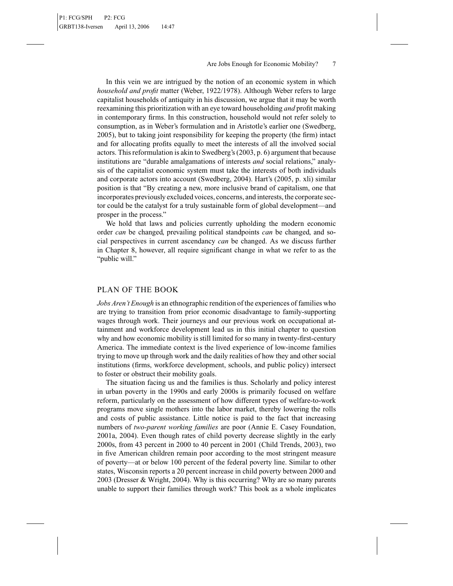In this vein we are intrigued by the notion of an economic system in which *household and profit* matter (Weber, 1922/1978). Although Weber refers to large capitalist households of antiquity in his discussion, we argue that it may be worth reexamining this prioritization with an eye toward householding *and* profit making in contemporary firms. In this construction, household would not refer solely to consumption, as in Weber's formulation and in Aristotle's earlier one (Swedberg, 2005), but to taking joint responsibility for keeping the property (the firm) intact and for allocating profits equally to meet the interests of all the involved social actors. This reformulation is akin to Swedberg's (2003, p. 6) argument that because institutions are "durable amalgamations of interests *and* social relations," analysis of the capitalist economic system must take the interests of both individuals and corporate actors into account (Swedberg, 2004). Hart's (2005, p. xli) similar position is that "By creating a new, more inclusive brand of capitalism, one that incorporates previously excluded voices, concerns, and interests, the corporate sector could be the catalyst for a truly sustainable form of global development—and prosper in the process."

We hold that laws and policies currently upholding the modern economic order *can* be changed, prevailing political standpoints *can* be changed, and social perspectives in current ascendancy *can* be changed. As we discuss further in Chapter 8, however, all require significant change in what we refer to as the "public will."

#### PLAN OF THE BOOK

*Jobs Aren't Enough* is an ethnographic rendition of the experiences of families who are trying to transition from prior economic disadvantage to family-supporting wages through work. Their journeys and our previous work on occupational attainment and workforce development lead us in this initial chapter to question why and how economic mobility is still limited for so many in twenty-first-century America. The immediate context is the lived experience of low-income families trying to move up through work and the daily realities of how they and other social institutions (firms, workforce development, schools, and public policy) intersect to foster or obstruct their mobility goals.

The situation facing us and the families is thus. Scholarly and policy interest in urban poverty in the 1990s and early 2000s is primarily focused on welfare reform, particularly on the assessment of how different types of welfare-to-work programs move single mothers into the labor market, thereby lowering the rolls and costs of public assistance. Little notice is paid to the fact that increasing numbers of *two-parent working families* are poor (Annie E. Casey Foundation, 2001a, 2004). Even though rates of child poverty decrease slightly in the early 2000s, from 43 percent in 2000 to 40 percent in 2001 (Child Trends, 2003), two in five American children remain poor according to the most stringent measure of poverty—at or below 100 percent of the federal poverty line. Similar to other states, Wisconsin reports a 20 percent increase in child poverty between 2000 and 2003 (Dresser & Wright, 2004). Why is this occurring? Why are so many parents unable to support their families through work? This book as a whole implicates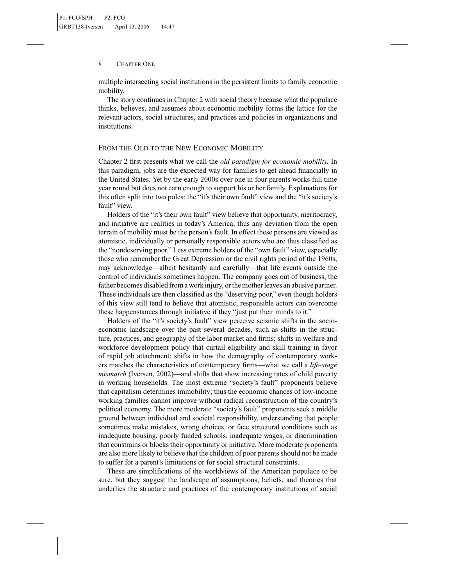multiple intersecting social institutions in the persistent limits to family economic mobility.

The story continues in Chapter 2 with social theory because what the populace thinks, believes, and assumes about economic mobility forms the lattice for the relevant actors, social structures, and practices and policies in organizations and institutions.

## FROM THE OLD TO THE NEW ECONOMIC MOBILITY

Chapter 2 first presents what we call the *old paradigm for economic mobility.* In this paradigm, jobs are the expected way for families to get ahead financially in the United States. Yet by the early 2000s over one in four parents works full time year round but does not earn enough to support his or her family. Explanations for this often split into two poles: the "it's their own fault" view and the "it's society's fault" view.

Holders of the "it's their own fault" view believe that opportunity, meritocracy, and initiative are realities in today's America, thus any deviation from the open terrain of mobility must be the person's fault. In effect these persons are viewed as atomistic, individually or personally responsible actors who are thus classified as the "nondeserving poor." Less extreme holders of the "own fault" view, especially those who remember the Great Depression or the civil rights period of the 1960s, may acknowledge—albeit hesitantly and carefully—that life events outside the control of individuals sometimes happen. The company goes out of business, the father becomes disabled from a work injury, or the mother leaves an abusive partner. These individuals are then classified as the "deserving poor," even though holders of this view still tend to believe that atomistic, responsible actors can overcome these happenstances through initiative if they "just put their minds to it."

Holders of the "it's society's fault" view perceive seismic shifts in the socioeconomic landscape over the past several decades, such as shifts in the structure, practices, and geography of the labor market and firms; shifts in welfare and workforce development policy that curtail eligibility and skill training in favor of rapid job attachment; shifts in how the demography of contemporary workers matches the characteristics of contemporary firms—what we call a *life-stage mismatch* (Iversen, 2002)—and shifts that show increasing rates of child poverty in working households. The most extreme "society's fault" proponents believe that capitalism determines immobility; thus the economic chances of low-income working families cannot improve without radical reconstruction of the country's political economy. The more moderate "society's fault" proponents seek a middle ground between individual and societal responsibility, understanding that people sometimes make mistakes, wrong choices, or face structural conditions such as inadequate housing, poorly funded schools, inadequate wages, or discrimination that constrains or blocks their opportunity or initiative. More moderate proponents are also more likely to believe that the children of poor parents should not be made to suffer for a parent's limitations or for social structural constraints.

These are simplifications of the worldviews of the American populace to be sure, but they suggest the landscape of assumptions, beliefs, and theories that underlies the structure and practices of the contemporary institutions of social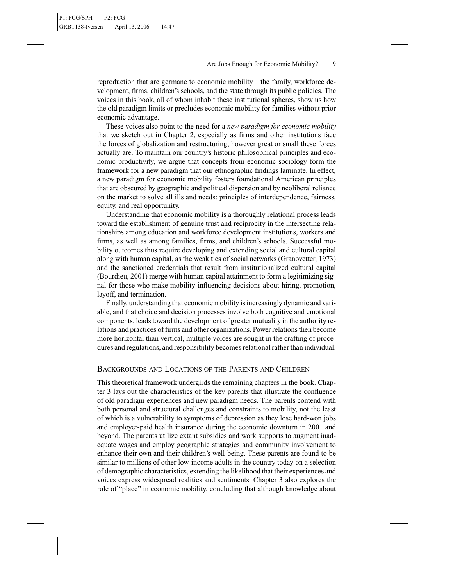reproduction that are germane to economic mobility—the family, workforce development, firms, children's schools, and the state through its public policies. The voices in this book, all of whom inhabit these institutional spheres, show us how the old paradigm limits or precludes economic mobility for families without prior economic advantage.

These voices also point to the need for a *new paradigm for economic mobility* that we sketch out in Chapter 2, especially as firms and other institutions face the forces of globalization and restructuring, however great or small these forces actually are. To maintain our country's historic philosophical principles and economic productivity, we argue that concepts from economic sociology form the framework for a new paradigm that our ethnographic findings laminate. In effect, a new paradigm for economic mobility fosters foundational American principles that are obscured by geographic and political dispersion and by neoliberal reliance on the market to solve all ills and needs: principles of interdependence, fairness, equity, and real opportunity.

Understanding that economic mobility is a thoroughly relational process leads toward the establishment of genuine trust and reciprocity in the intersecting relationships among education and workforce development institutions, workers and firms, as well as among families, firms, and children's schools. Successful mobility outcomes thus require developing and extending social and cultural capital along with human capital, as the weak ties of social networks (Granovetter, 1973) and the sanctioned credentials that result from institutionalized cultural capital (Bourdieu, 2001) merge with human capital attainment to form a legitimizing signal for those who make mobility-influencing decisions about hiring, promotion, layoff, and termination.

Finally, understanding that economic mobility is increasingly dynamic and variable, and that choice and decision processes involve both cognitive and emotional components, leads toward the development of greater mutuality in the authority relations and practices of firms and other organizations. Power relations then become more horizontal than vertical, multiple voices are sought in the crafting of procedures and regulations, and responsibility becomes relational rather than individual.

#### BACKGROUNDS AND LOCATIONS OF THE PARENTS AND CHILDREN

This theoretical framework undergirds the remaining chapters in the book. Chapter 3 lays out the characteristics of the key parents that illustrate the confluence of old paradigm experiences and new paradigm needs. The parents contend with both personal and structural challenges and constraints to mobility, not the least of which is a vulnerability to symptoms of depression as they lose hard-won jobs and employer-paid health insurance during the economic downturn in 2001 and beyond. The parents utilize extant subsidies and work supports to augment inadequate wages and employ geographic strategies and community involvement to enhance their own and their children's well-being. These parents are found to be similar to millions of other low-income adults in the country today on a selection of demographic characteristics, extending the likelihood that their experiences and voices express widespread realities and sentiments. Chapter 3 also explores the role of "place" in economic mobility, concluding that although knowledge about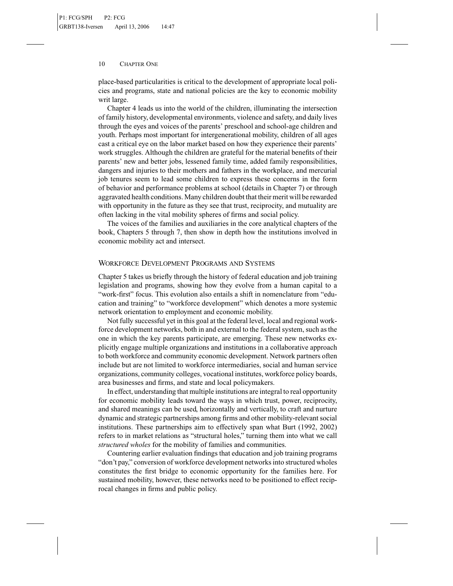place-based particularities is critical to the development of appropriate local policies and programs, state and national policies are the key to economic mobility writ large.

Chapter 4 leads us into the world of the children, illuminating the intersection of family history, developmental environments, violence and safety, and daily lives through the eyes and voices of the parents' preschool and school-age children and youth. Perhaps most important for intergenerational mobility, children of all ages cast a critical eye on the labor market based on how they experience their parents' work struggles. Although the children are grateful for the material benefits of their parents' new and better jobs, lessened family time, added family responsibilities, dangers and injuries to their mothers and fathers in the workplace, and mercurial job tenures seem to lead some children to express these concerns in the form of behavior and performance problems at school (details in Chapter 7) or through aggravated health conditions. Many children doubt that their merit will be rewarded with opportunity in the future as they see that trust, reciprocity, and mutuality are often lacking in the vital mobility spheres of firms and social policy.

The voices of the families and auxiliaries in the core analytical chapters of the book, Chapters 5 through 7, then show in depth how the institutions involved in economic mobility act and intersect.

#### WORKFORCE DEVELOPMENT PROGRAMS AND SYSTEMS

Chapter 5 takes us briefly through the history of federal education and job training legislation and programs, showing how they evolve from a human capital to a "work-first" focus. This evolution also entails a shift in nomenclature from "education and training" to "workforce development" which denotes a more systemic network orientation to employment and economic mobility.

Not fully successful yet in this goal at the federal level, local and regional workforce development networks, both in and external to the federal system, such as the one in which the key parents participate, are emerging. These new networks explicitly engage multiple organizations and institutions in a collaborative approach to both workforce and community economic development. Network partners often include but are not limited to workforce intermediaries, social and human service organizations, community colleges, vocational institutes, workforce policy boards, area businesses and firms, and state and local policymakers.

In effect, understanding that multiple institutions are integral to real opportunity for economic mobility leads toward the ways in which trust, power, reciprocity, and shared meanings can be used, horizontally and vertically, to craft and nurture dynamic and strategic partnerships among firms and other mobility-relevant social institutions. These partnerships aim to effectively span what Burt (1992, 2002) refers to in market relations as "structural holes," turning them into what we call *structured wholes* for the mobility of families and communities.

Countering earlier evaluation findings that education and job training programs "don't pay," conversion of workforce development networks into structured wholes constitutes the first bridge to economic opportunity for the families here. For sustained mobility, however, these networks need to be positioned to effect reciprocal changes in firms and public policy.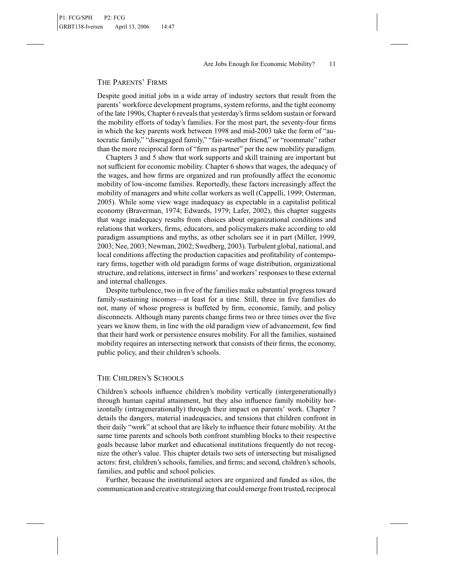## THE PARENTS' FIRMS

Despite good initial jobs in a wide array of industry sectors that result from the parents' workforce development programs, system reforms, and the tight economy of the late 1990s, Chapter 6 reveals that yesterday's firms seldom sustain or forward the mobility efforts of today's families. For the most part, the seventy-four firms in which the key parents work between 1998 and mid-2003 take the form of "autocratic family," "disengaged family," "fair-weather friend," or "roommate" rather than the more reciprocal form of "firm as partner" per the new mobility paradigm.

Chapters 3 and 5 show that work supports and skill training are important but not sufficient for economic mobility. Chapter 6 shows that wages, the adequacy of the wages, and how firms are organized and run profoundly affect the economic mobility of low-income families. Reportedly, these factors increasingly affect the mobility of managers and white collar workers as well (Cappelli, 1999; Osterman, 2005). While some view wage inadequacy as expectable in a capitalist political economy (Braverman, 1974; Edwards, 1979; Lafer, 2002), this chapter suggests that wage inadequacy results from choices about organizational conditions and relations that workers, firms, educators, and policymakers make according to old paradigm assumptions and myths, as other scholars see it in part (Miller, 1999, 2003; Nee, 2003; Newman, 2002; Swedberg, 2003). Turbulent global, national, and local conditions affecting the production capacities and profitability of contemporary firms, together with old paradigm forms of wage distribution, organizational structure, and relations, intersect in firms' and workers' responses to these external and internal challenges.

Despite turbulence, two in five of the families make substantial progress toward family-sustaining incomes—at least for a time. Still, three in five families do not, many of whose progress is buffeted by firm, economic, family, and policy disconnects. Although many parents change firms two or three times over the five years we know them, in line with the old paradigm view of advancement, few find that their hard work or persistence ensures mobility. For all the families, sustained mobility requires an intersecting network that consists of their firms, the economy, public policy, and their children's schools.

#### THE CHILDREN'S SCHOOLS

Children's schools influence children's mobility vertically (intergenerationally) through human capital attainment, but they also influence family mobility horizontally (intragenerationally) through their impact on parents' work. Chapter 7 details the dangers, material inadequacies, and tensions that children confront in their daily "work" at school that are likely to influence their future mobility. At the same time parents and schools both confront stumbling blocks to their respective goals because labor market and educational institutions frequently do not recognize the other's value. This chapter details two sets of intersecting but misaligned actors: first, children's schools, families, and firms; and second, children's schools, families, and public and school policies.

Further, because the institutional actors are organized and funded as silos, the communication and creative strategizing that could emerge from trusted, reciprocal